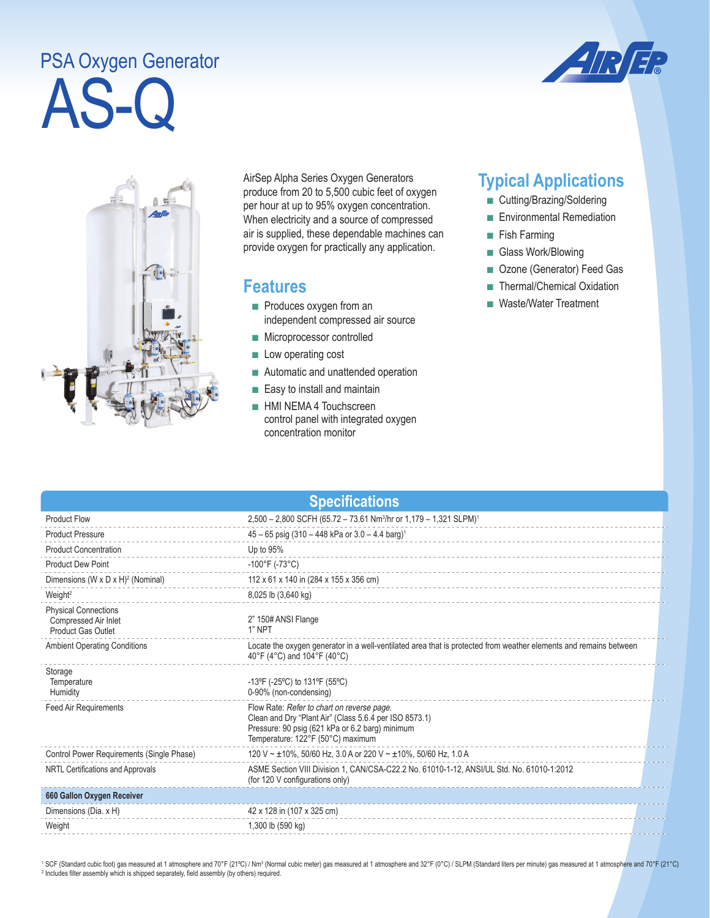## AS-Q PSA Oxygen Generator





AirSep Alpha Series Oxygen Generators produce from 20 to 5,500 cubic feet of oxygen per hour at up to 95% oxygen concentration. When electricity and a source of compressed air is supplied, these dependable machines can provide oxygen for practically any application.

## **Features**

- Produces oxygen from an independent compressed air source
- Microprocessor controlled
- Low operating cost
- Automatic and unattended operation
- Easy to install and maintain
- HMI NEMA 4 Touchscreen control panel with integrated oxygen concentration monitor

## **Typical Applications**

- Cutting/Brazing/Soldering
- Environmental Remediation
- Fish Farming
- Glass Work/Blowing
- Ozone (Generator) Feed Gas
- Thermal/Chemical Oxidation
- Waste/Water Treatment

| <b>Specifications</b>                                                     |                                                                                                                                                                                              |  |  |
|---------------------------------------------------------------------------|----------------------------------------------------------------------------------------------------------------------------------------------------------------------------------------------|--|--|
| <b>Product Flow</b>                                                       | 2,500 - 2,800 SCFH (65.72 - 73.61 Nm <sup>3</sup> /hr or 1,179 - 1,321 SLPM) <sup>1</sup>                                                                                                    |  |  |
| <b>Product Pressure</b>                                                   | 45 - 65 psig (310 - 448 kPa or 3.0 - 4.4 barg) <sup>1</sup>                                                                                                                                  |  |  |
| <b>Product Concentration</b>                                              | Up to 95%                                                                                                                                                                                    |  |  |
| <b>Product Dew Point</b>                                                  | $-100^{\circ}$ F (-73 $^{\circ}$ C)                                                                                                                                                          |  |  |
| Dimensions (W x D x H) <sup>2</sup> (Nominal)                             | 112 x 61 x 140 in (284 x 155 x 356 cm)                                                                                                                                                       |  |  |
| Weight <sup>2</sup>                                                       | 8,025 lb (3,640 kg)                                                                                                                                                                          |  |  |
| <b>Physical Connections</b><br>Compressed Air Inlet<br>Product Gas Outlet | 2" 150# ANSI Flange<br>1" NPT                                                                                                                                                                |  |  |
| <b>Ambient Operating Conditions</b>                                       | Locate the oxygen generator in a well-ventilated area that is protected from weather elements and remains between<br>40°F (4°C) and 104°F (40°C)                                             |  |  |
| Storage<br>Temperature<br>Humidity                                        | -13°F (-25°C) to 131°F (55°C)<br>0-90% (non-condensing)                                                                                                                                      |  |  |
| <b>Feed Air Requirements</b>                                              | Flow Rate: Refer to chart on reverse page.<br>Clean and Dry "Plant Air" (Class 5.6.4 per ISO 8573.1)<br>Pressure: 90 psig (621 kPa or 6.2 barg) minimum<br>Temperature: 122°F (50°C) maximum |  |  |
| Control Power Requirements (Single Phase)                                 | 120 V ~ ±10%, 50/60 Hz, 3.0 A or 220 V ~ ±10%, 50/60 Hz, 1.0 A                                                                                                                               |  |  |
| NRTL Certifications and Approvals                                         | ASME Section VIII Division 1, CAN/CSA-C22.2 No. 61010-1-12, ANSI/UL Std. No. 61010-1:2012<br>(for 120 V configurations only)                                                                 |  |  |
| 660 Gallon Oxygen Receiver                                                |                                                                                                                                                                                              |  |  |
| Dimensions (Dia. x H)                                                     | 42 x 128 in (107 x 325 cm)                                                                                                                                                                   |  |  |
| Weight                                                                    | 1,300 lb (590 kg)                                                                                                                                                                            |  |  |

<sup>1</sup> SCF (Standard cubic foot) gas measured at 1 atmosphere and 70°F (21°C) / Nm<sup>3</sup> (Normal cubic meter) gas measured at 1 atmosphere and 32°F (0°C) / SLPM (Standard liters per minute) gas measured at 1 atmosphere and 70°F <sup>2</sup> Includes filter assembly which is shipped separately, field assembly (by others) required.